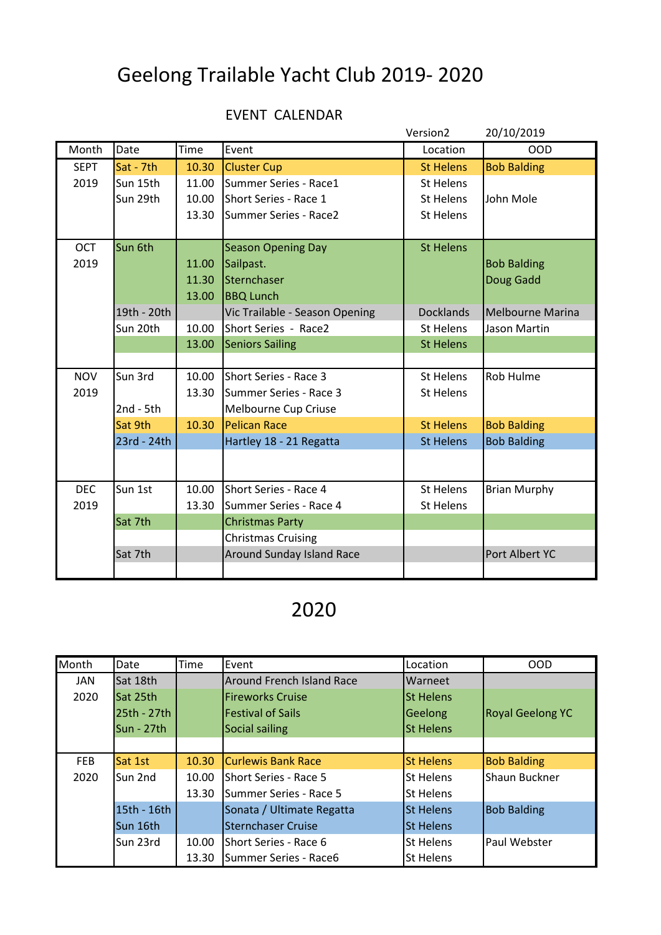## Geelong Trailable Yacht Club 2019- 2020

## EVENT CALENDAR

|             |             |       |                                  | Version <sub>2</sub> | 20/10/2019          |
|-------------|-------------|-------|----------------------------------|----------------------|---------------------|
| Month       | Date        | Time  | Event                            | Location             | <b>OOD</b>          |
| <b>SEPT</b> | Sat - 7th   | 10.30 | <b>Cluster Cup</b>               | <b>St Helens</b>     | <b>Bob Balding</b>  |
| 2019        | Sun 15th    | 11.00 | Summer Series - Race1            | <b>St Helens</b>     |                     |
|             | Sun 29th    | 10.00 | Short Series - Race 1            | <b>St Helens</b>     | John Mole           |
|             |             | 13.30 | Summer Series - Race2            | <b>St Helens</b>     |                     |
|             |             |       |                                  |                      |                     |
| <b>OCT</b>  | Sun 6th     |       | <b>Season Opening Day</b>        | <b>St Helens</b>     |                     |
| 2019        |             | 11.00 | Sailpast.                        |                      | <b>Bob Balding</b>  |
|             |             | 11.30 | Sternchaser                      |                      | Doug Gadd           |
|             |             | 13.00 | <b>BBQ Lunch</b>                 |                      |                     |
|             | 19th - 20th |       | Vic Trailable - Season Opening   | <b>Docklands</b>     | Melbourne Marina    |
|             | Sun 20th    | 10.00 | Short Series - Race2             | St Helens            | Jason Martin        |
|             |             | 13.00 | <b>Seniors Sailing</b>           | <b>St Helens</b>     |                     |
|             |             |       |                                  |                      |                     |
| <b>NOV</b>  | Sun 3rd     | 10.00 | Short Series - Race 3            | <b>St Helens</b>     | Rob Hulme           |
| 2019        |             | 13.30 | Summer Series - Race 3           | <b>St Helens</b>     |                     |
|             | $2nd - 5th$ |       | Melbourne Cup Criuse             |                      |                     |
|             | Sat 9th     | 10.30 | <b>Pelican Race</b>              | <b>St Helens</b>     | <b>Bob Balding</b>  |
|             | 23rd - 24th |       | Hartley 18 - 21 Regatta          | <b>St Helens</b>     | <b>Bob Balding</b>  |
|             |             |       |                                  |                      |                     |
|             |             |       |                                  |                      |                     |
| <b>DEC</b>  | Sun 1st     | 10.00 | Short Series - Race 4            | <b>St Helens</b>     | <b>Brian Murphy</b> |
| 2019        |             | 13.30 | Summer Series - Race 4           | <b>St Helens</b>     |                     |
|             | Sat 7th     |       | <b>Christmas Party</b>           |                      |                     |
|             |             |       | <b>Christmas Cruising</b>        |                      |                     |
|             | Sat 7th     |       | <b>Around Sunday Island Race</b> |                      | Port Albert YC      |
|             |             |       |                                  |                      |                     |

## 2020

| Month      | Date            | Time  | Event                            | Location         | <b>OOD</b>              |
|------------|-----------------|-------|----------------------------------|------------------|-------------------------|
| <b>JAN</b> | Sat 18th        |       | <b>Around French Island Race</b> | Warneet          |                         |
| 2020       | <b>Sat 25th</b> |       | <b>IFireworks Cruise</b>         | <b>St Helens</b> |                         |
|            | 25th - 27th     |       | <b>Festival of Sails</b>         | Geelong          | <b>Royal Geelong YC</b> |
|            | Sun - 27th      |       | Social sailing                   | <b>St Helens</b> |                         |
|            |                 |       |                                  |                  |                         |
| <b>FEB</b> | Sat 1st         | 10.30 | <b>Curlewis Bank Race</b>        | <b>St Helens</b> | <b>Bob Balding</b>      |
| 2020       | Sun 2nd         | 10.00 | Short Series - Race 5            | St Helens        | Shaun Buckner           |
|            |                 | 13.30 | Summer Series - Race 5           | St Helens        |                         |
|            | 15th - 16th     |       | Sonata / Ultimate Regatta        | <b>St Helens</b> | <b>Bob Balding</b>      |
|            | Sun 16th        |       | <b>Sternchaser Cruise</b>        | <b>St Helens</b> |                         |
|            | Sun 23rd        | 10.00 | Short Series - Race 6            | St Helens        | <b>Paul Webster</b>     |
|            |                 | 13.30 | Summer Series - Race6            | St Helens        |                         |